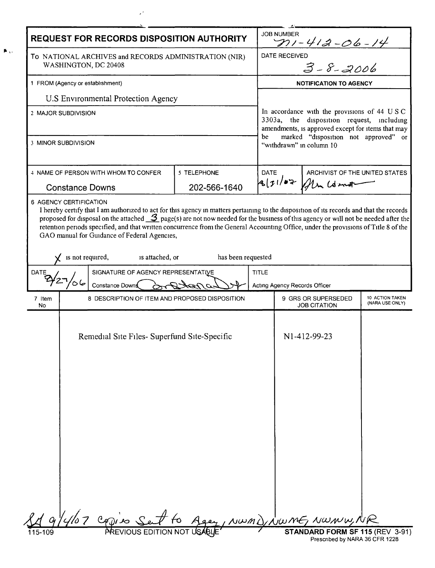| <b>REQUEST FOR RECORDS DISPOSITION AUTHORITY</b>                                                            |                                                                                                                                                                                                                                                                                                                                                                                                                                                                                                                                     |                    |                                                                                                                                               | <b>JOB NUMBER</b><br>$211 - 412 - 06 - 14$                                       |                                |  |
|-------------------------------------------------------------------------------------------------------------|-------------------------------------------------------------------------------------------------------------------------------------------------------------------------------------------------------------------------------------------------------------------------------------------------------------------------------------------------------------------------------------------------------------------------------------------------------------------------------------------------------------------------------------|--------------------|-----------------------------------------------------------------------------------------------------------------------------------------------|----------------------------------------------------------------------------------|--------------------------------|--|
| To NATIONAL ARCHIVES and RECORDS ADMINISTRATION (NIR)<br>WASHINGTON, DC 20408                               |                                                                                                                                                                                                                                                                                                                                                                                                                                                                                                                                     |                    |                                                                                                                                               | eo<br>3 - 8 - 2006<br><b>DATE RECEIVED</b>                                       |                                |  |
| 1 FROM (Agency or establishment)                                                                            |                                                                                                                                                                                                                                                                                                                                                                                                                                                                                                                                     |                    |                                                                                                                                               | <b>NOTIFICATION TO AGENCY</b>                                                    |                                |  |
| U.S Environmental Protection Agency                                                                         |                                                                                                                                                                                                                                                                                                                                                                                                                                                                                                                                     |                    |                                                                                                                                               |                                                                                  |                                |  |
| 2 MAJOR SUBDIVISION                                                                                         |                                                                                                                                                                                                                                                                                                                                                                                                                                                                                                                                     |                    | In accordance with the provisions of 44 USC<br>3303a, the disposition request, including<br>amendments, is approved except for items that may |                                                                                  |                                |  |
| 3 MINOR SUBDIVISION                                                                                         |                                                                                                                                                                                                                                                                                                                                                                                                                                                                                                                                     |                    |                                                                                                                                               | marked "disposition not approved" or<br>be<br>"withdrawn" in column 10           |                                |  |
| 4 NAME OF PERSON WITH WHOM TO CONFER                                                                        |                                                                                                                                                                                                                                                                                                                                                                                                                                                                                                                                     | 5 TELEPHONE        | <b>DATE</b>                                                                                                                                   |                                                                                  | ARCHIVIST OF THE UNITED STATES |  |
|                                                                                                             | <b>Constance Downs</b>                                                                                                                                                                                                                                                                                                                                                                                                                                                                                                              | 202-566-1640       |                                                                                                                                               | 871/107<br>Alm Lorent                                                            |                                |  |
|                                                                                                             | I hereby certify that I am authorized to act for this agency in matters pertaining to the disposition of its records and that the records<br>proposed for disposal on the attached $\mathcal{I}_{\text{page(s)}}$ are not now needed for the business of this agency or will not be needed after the<br>retention periods specified, and that written concurrence from the General Accounting Office, under the provisions of Title 8 of the<br>GAO manual for Guidance of Federal Agencies,<br>is not required,<br>is attached, or | has been requested |                                                                                                                                               |                                                                                  |                                |  |
| SIGNATURE OF AGENCY REPRESENTATIVE<br>DATE                                                                  |                                                                                                                                                                                                                                                                                                                                                                                                                                                                                                                                     |                    | <b>TITLE</b>                                                                                                                                  | Acting Agency Records Officer                                                    |                                |  |
|                                                                                                             | Constance Downs                                                                                                                                                                                                                                                                                                                                                                                                                                                                                                                     |                    |                                                                                                                                               |                                                                                  |                                |  |
| 7 Item<br>No                                                                                                | 8 DESCRIPTION OF ITEM AND PROPOSED DISPOSITION                                                                                                                                                                                                                                                                                                                                                                                                                                                                                      |                    |                                                                                                                                               | 10 ACTION TAKEN<br>9 GRS OR SUPERSEDED<br>(NARA USE ONLY)<br><b>JOB CITATION</b> |                                |  |
|                                                                                                             | Remedial Site Files- Superfund Site-Specific                                                                                                                                                                                                                                                                                                                                                                                                                                                                                        |                    |                                                                                                                                               | N1-412-99-23                                                                     |                                |  |
|                                                                                                             | 107 capies Set                                                                                                                                                                                                                                                                                                                                                                                                                                                                                                                      |                    |                                                                                                                                               | Agey, NWMD, NWME, NWWW, NR                                                       |                                |  |
| PREVIOUS EDITION NOT USABLE<br>STANDARD FORM SF 115 (REV 3-91)<br>115-109<br>Prescribed by NARA 36 CFR 1228 |                                                                                                                                                                                                                                                                                                                                                                                                                                                                                                                                     |                    |                                                                                                                                               |                                                                                  |                                |  |

 $\mathcal{L}^{\mathcal{L}}$ 

 $\mathbf{K}_{\mathrm{A}}$  ,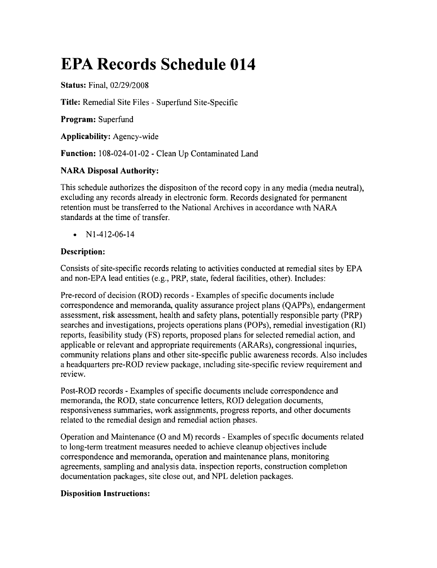# **EPA Records Schedule 014**

**Status:** Final, *02/29/2008*

**Title:** Remedial Site Files - Superfund Site-Specific

**Program:** Superfund

**Applicability:** Agency-wide

**Function:** 108-024-01-02 - Clean Up Contaminated Land

# **NARA Disposal Authority:**

This schedule authorizes the disposition of the record copy in any media (media neutral), excluding any records already in electronic form. Records designated for permanent retention must be transferred to the National Archives in accordance with NARA standards at the time of transfer.

•  $N1-412-06-14$ 

# **Description:**

Consists of site-specific records relating to activities conducted at remedial sites by EPA and non-EPA lead entities (e.g., PRP, state, federal facilities, other). Includes:

Pre-record of decision (ROD) records - Examples of specific documents include correspondence and memoranda, quality assurance project plans (QAPPs), endangerment assessment, risk assessment, health and safety plans, potentially responsible party (PRP) searches and investigations, projects operations plans (POPs), remedial investigation (RI) reports, feasibility study (FS) reports, proposed plans for selected remedial action, and applicable or relevant and appropriate requirements (ARARs), congressional inquiries, community relations plans and other site-specific public awareness records. Also includes a headquarters pre-ROD review package, including site-specific review requirement and review.

Post-ROD records - Examples of specific documents include correspondence and memoranda, the ROD, state concurrence letters, ROD delegation documents, responsiveness summaries, work assignments, progress reports, and other documents related to the remedial design and remedial action phases.

Operation and Maintenance (0 and M) records - Examples of specific documents related to long-term treatment measures needed to achieve cleanup objectives include correspondence and memoranda, operation and maintenance plans, monitoring agreements, sampling and analysis data, inspection reports, construction completion documentation packages, site close out, and NPL deletion packages.

## **Disposition Instructions:**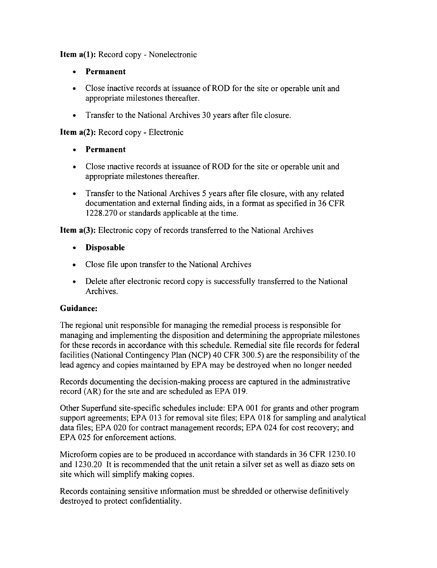Item a(1): Record copy - Nonelectronic

- • Permanent
- Close inactive records at issuance of ROD for the site or operable unit and appropriate milestones thereafter.
- Transfer to the National Archives 30 years after file closure.

Item a(2): Record copy - Electronic

- • Permanent
- Close inactive records at issuance of ROD for the site or operable unit and appropriate milestones thereafter.
- Transfer to the National Archives 5 years after file closure, with any related documentation and external finding aids, in a format as specified in 36 CFR 1228.270 or standards applicable at the time.

Item a(3): Electronic copy of records transferred to the National Archives

- • Disposable
- • Close file upon transfer to the National Archives
- Delete after electronic record copy is successfully transferred to the National Archives.

#### Guidance:

The regional unit responsible for managing the remedial process is responsible for managing and implementing the disposition and determining the appropriate milestones for these records in accordance with this schedule. Remedial site file records for federal facilities (National Contingency Plan (NCP) 40 CFR 300.5) are the responsibility of the lead agency and copies maintained by EPA may be destroyed when no longer needed

Records documenting the decision-making process are captured in the administrative record (AR) for the site and are scheduled as EPA 019.

Other Superfund site-specific schedules include: EPA 001 for grants and other program support agreements; EPA 013 for removal site files; EPA 018 for sampling and analytical data files; EPA 020 for contract management records; EPA 024 for cost recovery; and EPA 025 for enforcement actions.

Microform copies are to be produced In accordance with standards in 36 CFR 1230.10 and 1230.20 It is recommended that the unit retain a silver set as well as diazo sets on site which will simplify making copies.

Records containing sensitive information must be shredded or otherwise definitively destroyed to protect confidentiality.